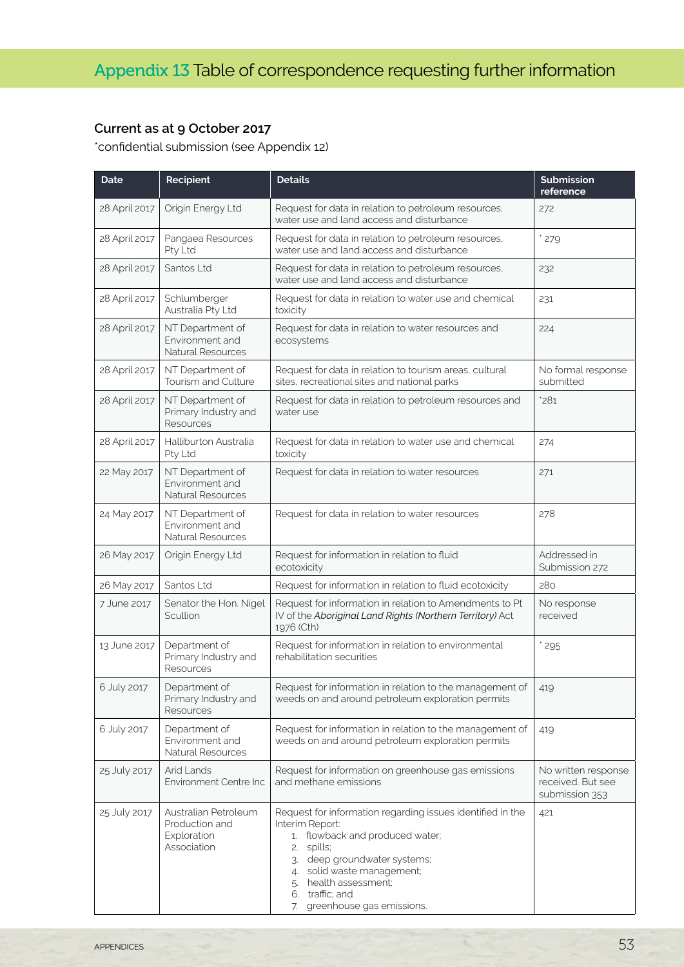## **Current as at 9 October 2017**

\*confidential submission (see Appendix 12)

| <b>Date</b>   | Recipient                                                            | <b>Details</b>                                                                                                                                                                                                                                                              | <b>Submission</b><br>reference                             |
|---------------|----------------------------------------------------------------------|-----------------------------------------------------------------------------------------------------------------------------------------------------------------------------------------------------------------------------------------------------------------------------|------------------------------------------------------------|
| 28 April 2017 | Origin Energy Ltd                                                    | Request for data in relation to petroleum resources,<br>water use and land access and disturbance                                                                                                                                                                           | 272                                                        |
| 28 April 2017 | Pangaea Resources<br>Pty Ltd                                         | Request for data in relation to petroleum resources,<br>water use and land access and disturbance                                                                                                                                                                           | $*279$                                                     |
| 28 April 2017 | Santos Ltd                                                           | Request for data in relation to petroleum resources,<br>water use and land access and disturbance                                                                                                                                                                           | 232                                                        |
| 28 April 2017 | Schlumberger<br>Australia Pty Ltd                                    | Request for data in relation to water use and chemical<br>toxicity                                                                                                                                                                                                          | 231                                                        |
| 28 April 2017 | NT Department of<br>Environment and<br>Natural Resources             | Request for data in relation to water resources and<br>ecosystems                                                                                                                                                                                                           | 224                                                        |
| 28 April 2017 | NT Department of<br>Tourism and Culture                              | Request for data in relation to tourism areas, cultural<br>sites, recreational sites and national parks                                                                                                                                                                     | No formal response<br>submitted                            |
| 28 April 2017 | NT Department of<br>Primary Industry and<br>Resources                | Request for data in relation to petroleum resources and<br>water use                                                                                                                                                                                                        | *281                                                       |
| 28 April 2017 | Halliburton Australia<br>Pty Ltd                                     | Request for data in relation to water use and chemical<br>toxicity                                                                                                                                                                                                          | 274                                                        |
| 22 May 2017   | NT Department of<br>Environment and<br><b>Natural Resources</b>      | Request for data in relation to water resources                                                                                                                                                                                                                             | 271                                                        |
| 24 May 2017   | NT Department of<br>Environment and<br>Natural Resources             | Request for data in relation to water resources                                                                                                                                                                                                                             | 278                                                        |
| 26 May 2017   | Origin Energy Ltd                                                    | Request for information in relation to fluid<br>ecotoxicity                                                                                                                                                                                                                 | Addressed in<br>Submission 272                             |
| 26 May 2017   | Santos Ltd                                                           | Request for information in relation to fluid ecotoxicity                                                                                                                                                                                                                    | 280                                                        |
| 7 June 2017   | Senator the Hon. Nigel<br>Scullion                                   | Request for information in relation to Amendments to Pt<br>IV of the Aboriginal Land Rights (Northern Territory) Act<br>1976 (Cth)                                                                                                                                          | No response<br>received                                    |
| 13 June 2017  | Department of<br>Primary Industry and<br>Resources                   | Request for information in relation to environmental<br>rehabilitation securities                                                                                                                                                                                           | $*295$                                                     |
| 6 July 2017   | Department of<br>Primary Industry and<br>Resources                   | Request for information in relation to the management of<br>weeds on and around petroleum exploration permits                                                                                                                                                               | 419                                                        |
| 6 July 2017   | Department of<br>Environment and<br>Natural Resources                | Request for information in relation to the management of<br>weeds on and around petroleum exploration permits                                                                                                                                                               | 419                                                        |
| 25 July 2017  | Arid Lands<br>Environment Centre Inc                                 | Request for information on greenhouse gas emissions<br>and methane emissions                                                                                                                                                                                                | No written response<br>received. But see<br>submission 353 |
| 25 July 2017  | Australian Petroleum<br>Production and<br>Exploration<br>Association | Request for information regarding issues identified in the<br>Interim Report:<br>1. flowback and produced water;<br>spills;<br>2.<br>deep groundwater systems;<br>3.<br>4. solid waste management;<br>5. health assessment;<br>6. traffic; and<br>greenhouse gas emissions. | 421                                                        |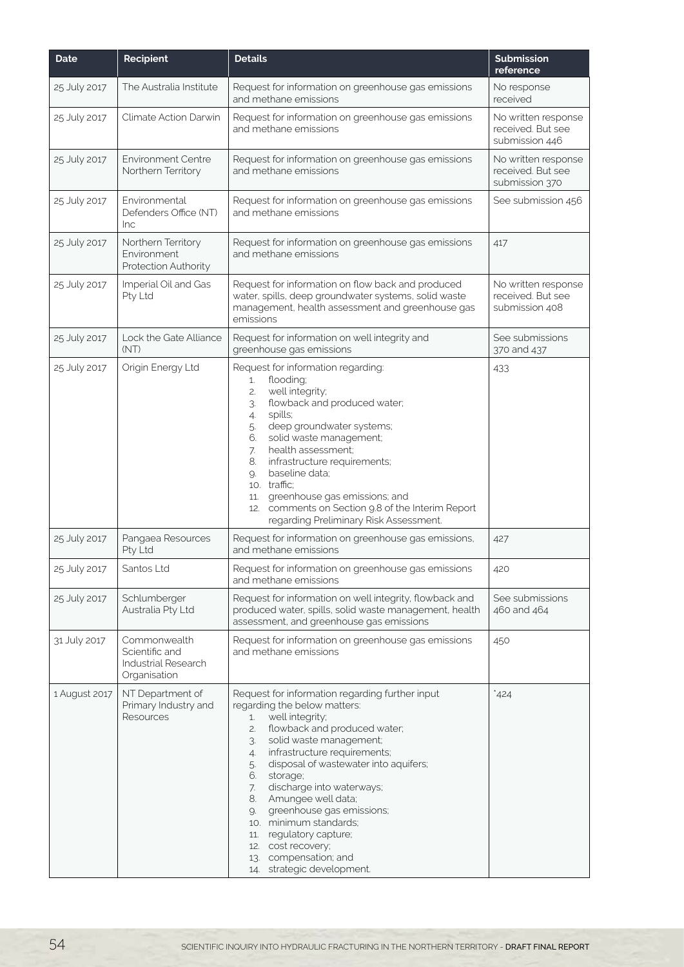| <b>Date</b>   | Recipient                                                             | <b>Details</b>                                                                                                                                                                                                                                                                                                                                                                                                                                                                                                                      | <b>Submission</b><br>reference                             |
|---------------|-----------------------------------------------------------------------|-------------------------------------------------------------------------------------------------------------------------------------------------------------------------------------------------------------------------------------------------------------------------------------------------------------------------------------------------------------------------------------------------------------------------------------------------------------------------------------------------------------------------------------|------------------------------------------------------------|
| 25 July 2017  | The Australia Institute                                               | Request for information on greenhouse gas emissions<br>and methane emissions                                                                                                                                                                                                                                                                                                                                                                                                                                                        | No response<br>received                                    |
| 25 July 2017  | Climate Action Darwin                                                 | Request for information on greenhouse gas emissions<br>and methane emissions                                                                                                                                                                                                                                                                                                                                                                                                                                                        | No written response<br>received. But see<br>submission 446 |
| 25 July 2017  | <b>Environment Centre</b><br>Northern Territory                       | Request for information on greenhouse gas emissions<br>and methane emissions                                                                                                                                                                                                                                                                                                                                                                                                                                                        | No written response<br>received. But see<br>submission 370 |
| 25 July 2017  | Environmental<br>Defenders Office (NT)<br>Inc                         | Request for information on greenhouse gas emissions<br>and methane emissions                                                                                                                                                                                                                                                                                                                                                                                                                                                        | See submission 456                                         |
| 25 July 2017  | Northern Territory<br>Environment<br>Protection Authority             | Request for information on greenhouse gas emissions<br>and methane emissions                                                                                                                                                                                                                                                                                                                                                                                                                                                        | 417                                                        |
| 25 July 2017  | Imperial Oil and Gas<br>Pty Ltd                                       | Request for information on flow back and produced<br>water, spills, deep groundwater systems, solid waste<br>management, health assessment and greenhouse gas<br>emissions                                                                                                                                                                                                                                                                                                                                                          | No written response<br>received. But see<br>submission 408 |
| 25 July 2017  | Lock the Gate Alliance<br>(NT)                                        | Request for information on well integrity and<br>greenhouse gas emissions                                                                                                                                                                                                                                                                                                                                                                                                                                                           | See submissions<br>370 and 437                             |
| 25 July 2017  | Origin Energy Ltd                                                     | Request for information regarding:<br>flooding;<br>1.<br>well integrity;<br>2.<br>flowback and produced water;<br>3.<br>spills;<br>4.<br>deep groundwater systems;<br>5.<br>solid waste management;<br>6.<br>health assessment;<br>7.<br>infrastructure requirements;<br>8.<br>baseline data;<br>9.<br>10. traffic:<br>greenhouse gas emissions; and<br>11.<br>12. comments on Section 9.8 of the Interim Report<br>regarding Preliminary Risk Assessment.                                                                          | 433                                                        |
| 25 July 2017  | Pangaea Resources<br>Pty Ltd                                          | Request for information on greenhouse gas emissions,<br>and methane emissions                                                                                                                                                                                                                                                                                                                                                                                                                                                       | 427                                                        |
| 25 July 2017  | Santos Ltd                                                            | Request for information on greenhouse gas emissions<br>and methane emissions                                                                                                                                                                                                                                                                                                                                                                                                                                                        | 420                                                        |
| 25 July 2017  | Schlumberger<br>Australia Pty Ltd                                     | Request for information on well integrity, flowback and<br>produced water, spills, solid waste management, health<br>assessment, and greenhouse gas emissions                                                                                                                                                                                                                                                                                                                                                                       | See submissions<br>460 and 464                             |
| 31 July 2017  | Commonwealth<br>Scientific and<br>Industrial Research<br>Organisation | Request for information on greenhouse gas emissions<br>and methane emissions                                                                                                                                                                                                                                                                                                                                                                                                                                                        | 450                                                        |
| 1 August 2017 | NT Department of<br>Primary Industry and<br>Resources                 | Request for information regarding further input<br>regarding the below matters:<br>well integrity;<br>1.<br>flowback and produced water;<br>2.<br>solid waste management;<br>3.<br>infrastructure requirements;<br>4.<br>disposal of wastewater into aquifers;<br>5.<br>6.<br>storage;<br>discharge into waterways;<br>7.<br>Amungee well data;<br>8.<br>greenhouse gas emissions;<br>9.<br>10. minimum standards;<br>regulatory capture;<br>11.<br>12. cost recovery;<br>compensation; and<br>13.<br>strategic development.<br>14. | 424                                                        |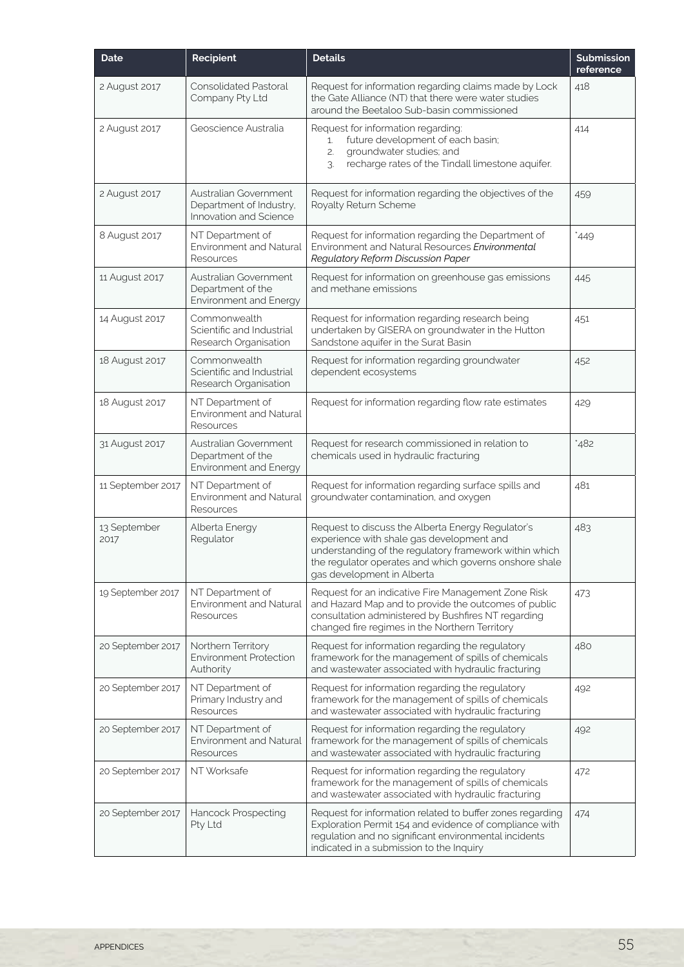| <b>Date</b>          | Recipient                                                                  | <b>Details</b>                                                                                                                                                                                                                                   | <b>Submission</b><br>reference |
|----------------------|----------------------------------------------------------------------------|--------------------------------------------------------------------------------------------------------------------------------------------------------------------------------------------------------------------------------------------------|--------------------------------|
| 2 August 2017        | <b>Consolidated Pastoral</b><br>Company Pty Ltd                            | Request for information regarding claims made by Lock<br>the Gate Alliance (NT) that there were water studies<br>around the Beetaloo Sub-basin commissioned                                                                                      | 418                            |
| 2 August 2017        | Geoscience Australia                                                       | Request for information regarding:<br>future development of each basin;<br>1.<br>groundwater studies; and<br>2.<br>recharge rates of the Tindall limestone aquifer.<br>3.                                                                        | 414                            |
| 2 August 2017        | Australian Government<br>Department of Industry,<br>Innovation and Science | Request for information regarding the objectives of the<br>Royalty Return Scheme                                                                                                                                                                 | 459                            |
| 8 August 2017        | NT Department of<br><b>Environment and Natural</b><br>Resources            | Request for information regarding the Department of<br>Environment and Natural Resources Environmental<br>Regulatory Reform Discussion Paper                                                                                                     | 449                            |
| 11 August 2017       | Australian Government<br>Department of the<br>Environment and Energy       | Request for information on greenhouse gas emissions<br>and methane emissions                                                                                                                                                                     | 445                            |
| 14 August 2017       | Commonwealth<br>Scientific and Industrial<br>Research Organisation         | Request for information regarding research being<br>undertaken by GISERA on groundwater in the Hutton<br>Sandstone aquifer in the Surat Basin                                                                                                    | 451                            |
| 18 August 2017       | Commonwealth<br>Scientific and Industrial<br>Research Organisation         | Request for information regarding groundwater<br>dependent ecosystems                                                                                                                                                                            | 452                            |
| 18 August 2017       | NT Department of<br><b>Environment and Natural</b><br>Resources            | Request for information regarding flow rate estimates                                                                                                                                                                                            | 429                            |
| 31 August 2017       | Australian Government<br>Department of the<br>Environment and Energy       | Request for research commissioned in relation to<br>chemicals used in hydraulic fracturing                                                                                                                                                       | *482                           |
| 11 September 2017    | NT Department of<br><b>Environment and Natural</b><br>Resources            | Request for information regarding surface spills and<br>groundwater contamination, and oxygen                                                                                                                                                    | 481                            |
| 13 September<br>2017 | Alberta Energy<br>Regulator                                                | Request to discuss the Alberta Energy Regulator's<br>experience with shale gas development and<br>understanding of the regulatory framework within which<br>the regulator operates and which governs onshore shale<br>gas development in Alberta | 483                            |
| 19 September 2017    | NT Department of<br><b>Environment and Natural</b><br>Resources            | Request for an indicative Fire Management Zone Risk<br>and Hazard Map and to provide the outcomes of public<br>consultation administered by Bushfires NT regarding<br>changed fire regimes in the Northern Territory                             | 473                            |
| 20 September 2017    | Northern Territory<br>Environment Protection<br>Authority                  | Request for information regarding the regulatory<br>framework for the management of spills of chemicals<br>and wastewater associated with hydraulic fracturing                                                                                   | 480                            |
| 20 September 2017    | NT Department of<br>Primary Industry and<br>Resources                      | Request for information regarding the regulatory<br>framework for the management of spills of chemicals<br>and wastewater associated with hydraulic fracturing                                                                                   | 492                            |
| 20 September 2017    | NT Department of<br>Environment and Natural<br>Resources                   | Request for information regarding the regulatory<br>framework for the management of spills of chemicals<br>and wastewater associated with hydraulic fracturing                                                                                   | 492                            |
| 20 September 2017    | NT Worksafe                                                                | Request for information regarding the regulatory<br>framework for the management of spills of chemicals<br>and wastewater associated with hydraulic fracturing                                                                                   | 472                            |
| 20 September 2017    | Hancock Prospecting<br>Pty Ltd                                             | Request for information related to buffer zones regarding<br>Exploration Permit 154 and evidence of compliance with<br>regulation and no significant environmental incidents<br>indicated in a submission to the Inquiry                         | 474                            |